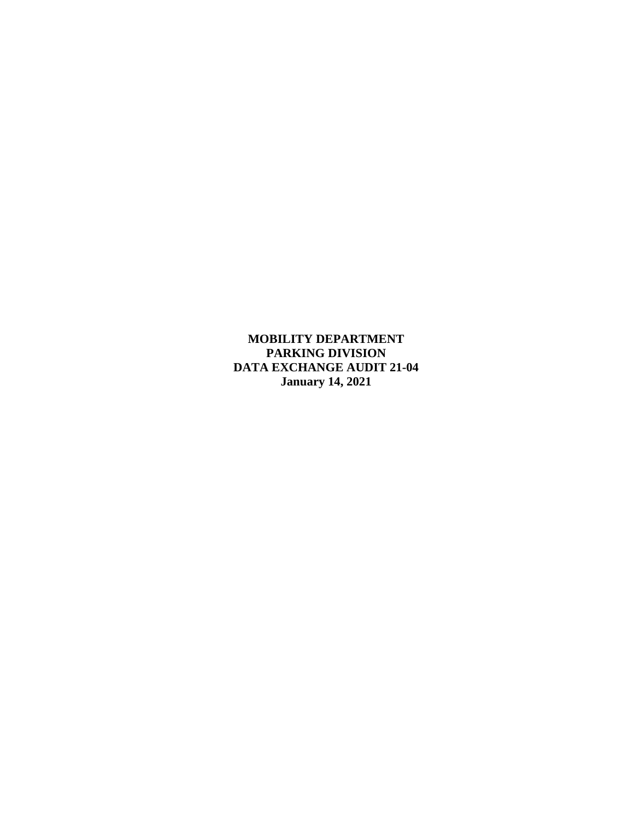**MOBILITY DEPARTMENT PARKING DIVISION DATA EXCHANGE AUDIT 21-04 January 14, 2021**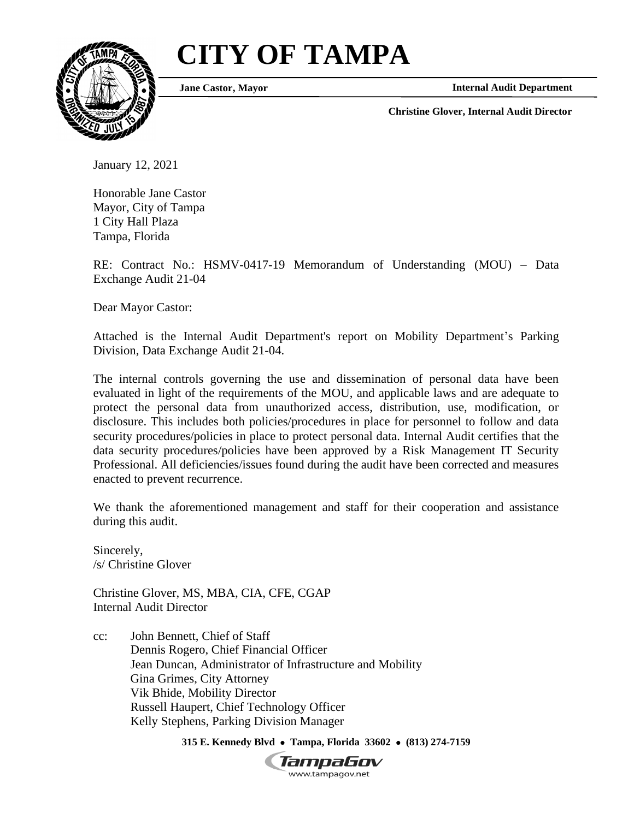# **CITY OF TAMPA**



**Jane Castor, Mayor**

**Internal Audit Department**

**Christine Glover, Internal Audit Director**

January 12, 2021

Honorable Jane Castor Mayor, City of Tampa 1 City Hall Plaza Tampa, Florida

RE: Contract No.: HSMV-0417-19 Memorandum of Understanding (MOU) – Data Exchange Audit 21-04

Dear Mayor Castor:

Attached is the Internal Audit Department's report on Mobility Department's Parking Division, Data Exchange Audit 21-04.

The internal controls governing the use and dissemination of personal data have been evaluated in light of the requirements of the MOU, and applicable laws and are adequate to protect the personal data from unauthorized access, distribution, use, modification, or disclosure. This includes both policies/procedures in place for personnel to follow and data security procedures/policies in place to protect personal data. Internal Audit certifies that the data security procedures/policies have been approved by a Risk Management IT Security Professional. All deficiencies/issues found during the audit have been corrected and measures enacted to prevent recurrence.

We thank the aforementioned management and staff for their cooperation and assistance during this audit.

Sincerely, /s/ Christine Glover

Christine Glover, MS, MBA, CIA, CFE, CGAP Internal Audit Director

cc: John Bennett, Chief of Staff Dennis Rogero, Chief Financial Officer Jean Duncan, Administrator of Infrastructure and Mobility Gina Grimes, City Attorney Vik Bhide, Mobility Director Russell Haupert, Chief Technology Officer Kelly Stephens, Parking Division Manager

**315 E. Kennedy Blvd** • **Tampa, Florida 33602** • **(813) 274-7159**

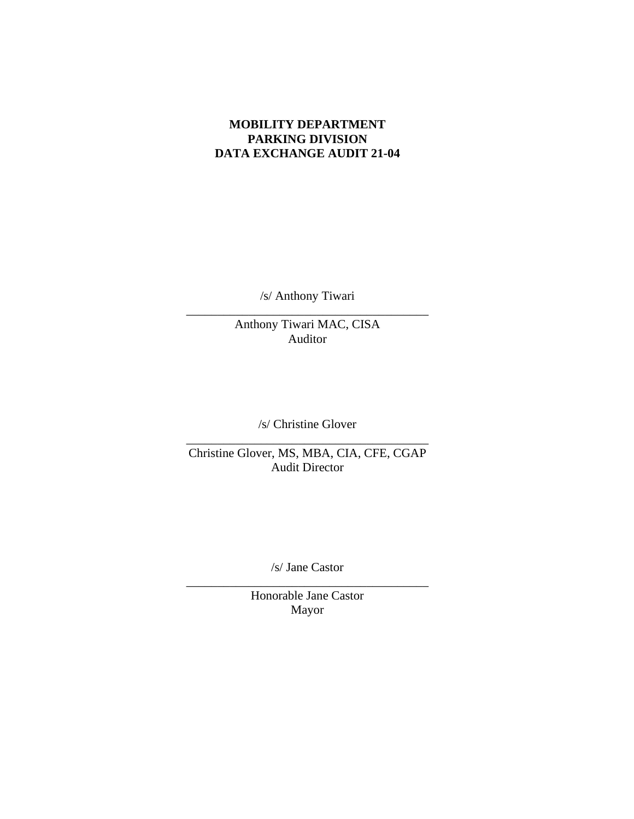## **MOBILITY DEPARTMENT PARKING DIVISION DATA EXCHANGE AUDIT 21-04**

/s/ Anthony Tiwari \_\_\_\_\_\_\_\_\_\_\_\_\_\_\_\_\_\_\_\_\_\_\_\_\_\_\_\_\_\_\_\_\_\_\_\_\_\_\_

Anthony Tiwari MAC, CISA Auditor

/s/ Christine Glover \_\_\_\_\_\_\_\_\_\_\_\_\_\_\_\_\_\_\_\_\_\_\_\_\_\_\_\_\_\_\_\_\_\_\_\_\_\_\_

Christine Glover, MS, MBA, CIA, CFE, CGAP Audit Director

/s/ Jane Castor \_\_\_\_\_\_\_\_\_\_\_\_\_\_\_\_\_\_\_\_\_\_\_\_\_\_\_\_\_\_\_\_\_\_\_\_\_\_\_

Honorable Jane Castor Mayor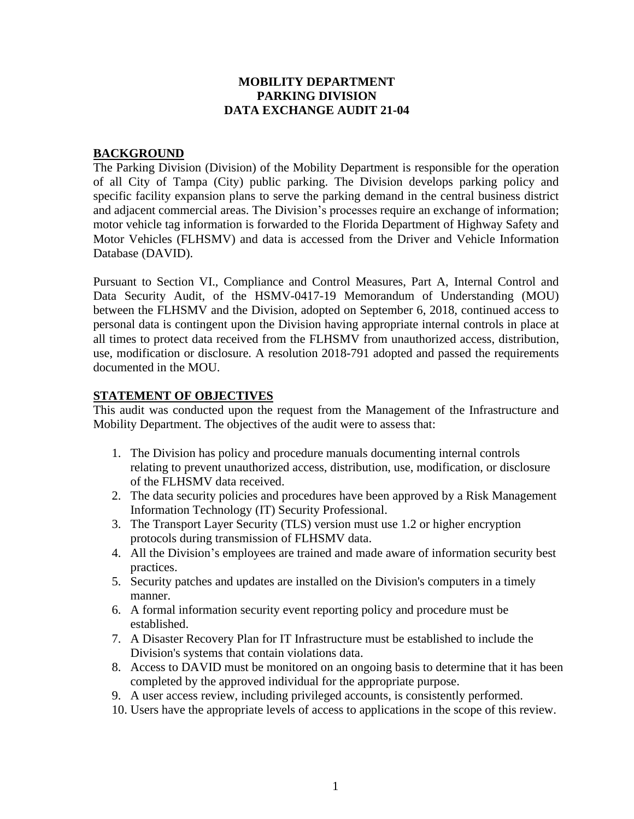#### **MOBILITY DEPARTMENT PARKING DIVISION DATA EXCHANGE AUDIT 21-04**

#### **BACKGROUND**

The Parking Division (Division) of the Mobility Department is responsible for the operation of all City of Tampa (City) public parking. The Division develops parking policy and specific facility expansion plans to serve the parking demand in the central business district and adjacent commercial areas. The Division's processes require an exchange of information; motor vehicle tag information is forwarded to the Florida Department of Highway Safety and Motor Vehicles (FLHSMV) and data is accessed from the Driver and Vehicle Information Database (DAVID).

Pursuant to Section VI., Compliance and Control Measures, Part A, Internal Control and Data Security Audit, of the HSMV-0417-19 Memorandum of Understanding (MOU) between the FLHSMV and the Division, adopted on September 6, 2018, continued access to personal data is contingent upon the Division having appropriate internal controls in place at all times to protect data received from the FLHSMV from unauthorized access, distribution, use, modification or disclosure. A resolution 2018-791 adopted and passed the requirements documented in the MOU.

#### **STATEMENT OF OBJECTIVES**

This audit was conducted upon the request from the Management of the Infrastructure and Mobility Department. The objectives of the audit were to assess that:

- 1. The Division has policy and procedure manuals documenting internal controls relating to prevent unauthorized access, distribution, use, modification, or disclosure of the FLHSMV data received.
- 2. The data security policies and procedures have been approved by a Risk Management Information Technology (IT) Security Professional.
- 3. The Transport Layer Security (TLS) version must use 1.2 or higher encryption protocols during transmission of FLHSMV data.
- 4. All the Division's employees are trained and made aware of information security best practices.
- 5. Security patches and updates are installed on the Division's computers in a timely manner.
- 6. A formal information security event reporting policy and procedure must be established.
- 7. A Disaster Recovery Plan for IT Infrastructure must be established to include the Division's systems that contain violations data.
- 8. Access to DAVID must be monitored on an ongoing basis to determine that it has been completed by the approved individual for the appropriate purpose.
- 9. A user access review, including privileged accounts, is consistently performed.
- 10. Users have the appropriate levels of access to applications in the scope of this review.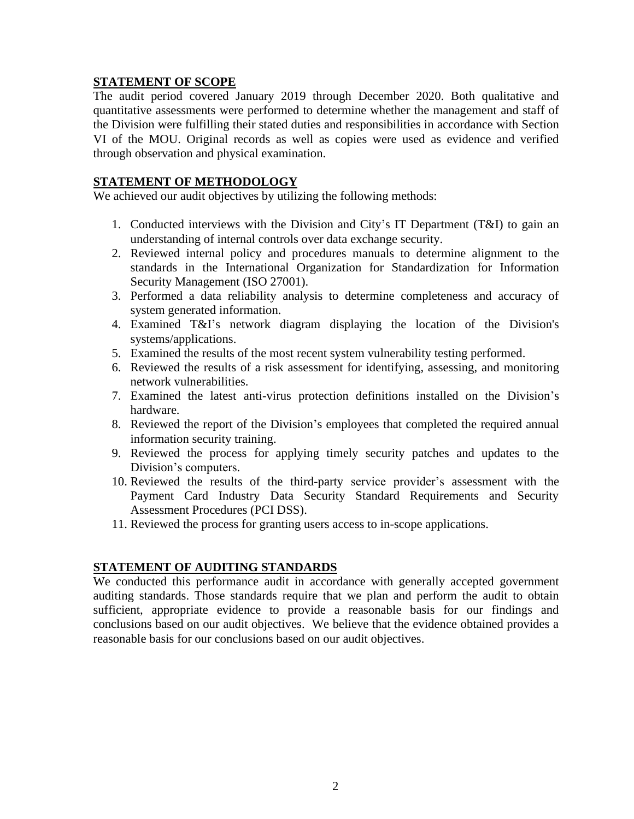## **STATEMENT OF SCOPE**

The audit period covered January 2019 through December 2020. Both qualitative and quantitative assessments were performed to determine whether the management and staff of the Division were fulfilling their stated duties and responsibilities in accordance with Section VI of the MOU. Original records as well as copies were used as evidence and verified through observation and physical examination.

### **STATEMENT OF METHODOLOGY**

We achieved our audit objectives by utilizing the following methods:

- 1. Conducted interviews with the Division and City's IT Department (T&I) to gain an understanding of internal controls over data exchange security.
- 2. Reviewed internal policy and procedures manuals to determine alignment to the standards in the International Organization for Standardization for Information Security Management (ISO 27001).
- 3. Performed a data reliability analysis to determine completeness and accuracy of system generated information.
- 4. Examined T&I's network diagram displaying the location of the Division's systems/applications.
- 5. Examined the results of the most recent system vulnerability testing performed.
- 6. Reviewed the results of a risk assessment for identifying, assessing, and monitoring network vulnerabilities.
- 7. Examined the latest anti-virus protection definitions installed on the Division's hardware.
- 8. Reviewed the report of the Division's employees that completed the required annual information security training.
- 9. Reviewed the process for applying timely security patches and updates to the Division's computers.
- 10. Reviewed the results of the third-party service provider's assessment with the Payment Card Industry Data Security Standard Requirements and Security Assessment Procedures (PCI DSS).
- 11. Reviewed the process for granting users access to in-scope applications.

#### **STATEMENT OF AUDITING STANDARDS**

We conducted this performance audit in accordance with generally accepted government auditing standards. Those standards require that we plan and perform the audit to obtain sufficient, appropriate evidence to provide a reasonable basis for our findings and conclusions based on our audit objectives. We believe that the evidence obtained provides a reasonable basis for our conclusions based on our audit objectives.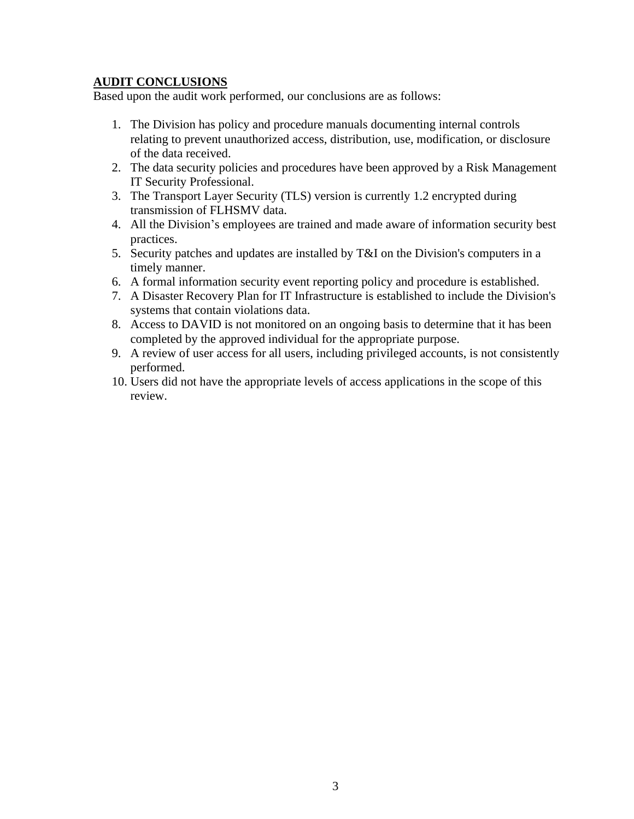## **AUDIT CONCLUSIONS**

Based upon the audit work performed, our conclusions are as follows:

- 1. The Division has policy and procedure manuals documenting internal controls relating to prevent unauthorized access, distribution, use, modification, or disclosure of the data received.
- 2. The data security policies and procedures have been approved by a Risk Management IT Security Professional.
- 3. The Transport Layer Security (TLS) version is currently 1.2 encrypted during transmission of FLHSMV data.
- 4. All the Division's employees are trained and made aware of information security best practices.
- 5. Security patches and updates are installed by T&I on the Division's computers in a timely manner.
- 6. A formal information security event reporting policy and procedure is established.
- 7. A Disaster Recovery Plan for IT Infrastructure is established to include the Division's systems that contain violations data.
- 8. Access to DAVID is not monitored on an ongoing basis to determine that it has been completed by the approved individual for the appropriate purpose.
- 9. A review of user access for all users, including privileged accounts, is not consistently performed.
- 10. Users did not have the appropriate levels of access applications in the scope of this review.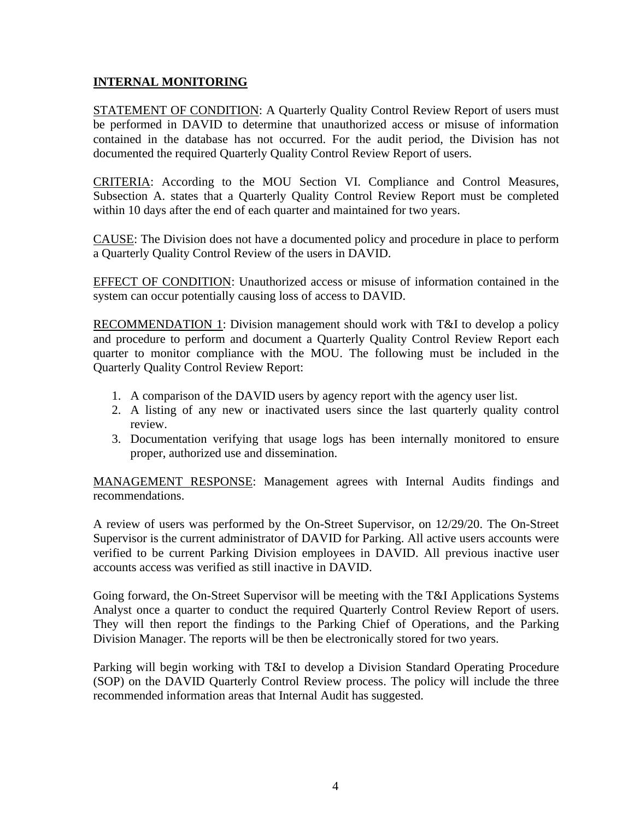## **INTERNAL MONITORING**

STATEMENT OF CONDITION: A Quarterly Quality Control Review Report of users must be performed in DAVID to determine that unauthorized access or misuse of information contained in the database has not occurred. For the audit period, the Division has not documented the required Quarterly Quality Control Review Report of users.

CRITERIA: According to the MOU Section VI. Compliance and Control Measures, Subsection A. states that a Quarterly Quality Control Review Report must be completed within 10 days after the end of each quarter and maintained for two years.

CAUSE: The Division does not have a documented policy and procedure in place to perform a Quarterly Quality Control Review of the users in DAVID.

EFFECT OF CONDITION: Unauthorized access or misuse of information contained in the system can occur potentially causing loss of access to DAVID.

RECOMMENDATION 1: Division management should work with T&I to develop a policy and procedure to perform and document a Quarterly Quality Control Review Report each quarter to monitor compliance with the MOU. The following must be included in the Quarterly Quality Control Review Report:

- 1. A comparison of the DAVID users by agency report with the agency user list.
- 2. A listing of any new or inactivated users since the last quarterly quality control review.
- 3. Documentation verifying that usage logs has been internally monitored to ensure proper, authorized use and dissemination.

MANAGEMENT RESPONSE: Management agrees with Internal Audits findings and recommendations.

A review of users was performed by the On-Street Supervisor, on 12/29/20. The On-Street Supervisor is the current administrator of DAVID for Parking. All active users accounts were verified to be current Parking Division employees in DAVID. All previous inactive user accounts access was verified as still inactive in DAVID.

Going forward, the On-Street Supervisor will be meeting with the T&I Applications Systems Analyst once a quarter to conduct the required Quarterly Control Review Report of users. They will then report the findings to the Parking Chief of Operations, and the Parking Division Manager. The reports will be then be electronically stored for two years.

Parking will begin working with T&I to develop a Division Standard Operating Procedure (SOP) on the DAVID Quarterly Control Review process. The policy will include the three recommended information areas that Internal Audit has suggested.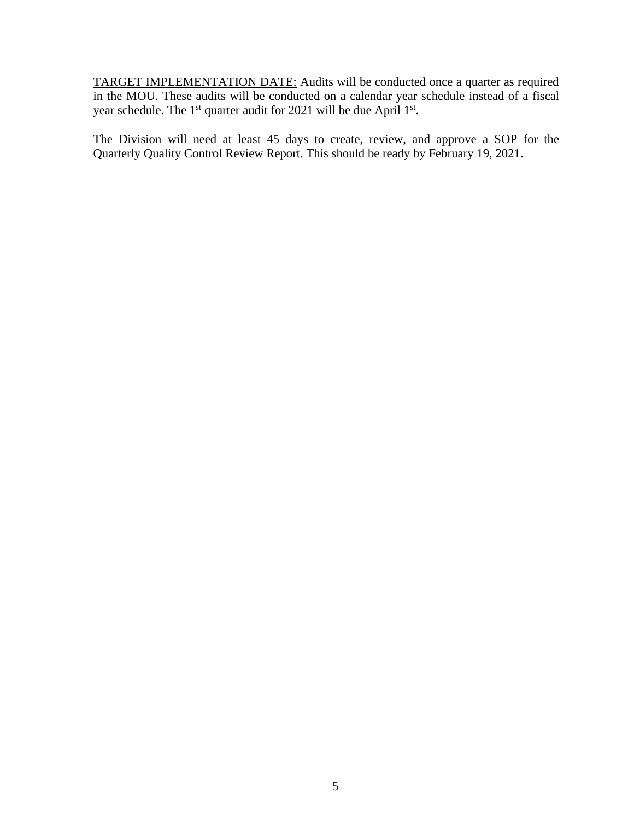TARGET IMPLEMENTATION DATE: Audits will be conducted once a quarter as required in the MOU. These audits will be conducted on a calendar year schedule instead of a fiscal year schedule. The 1<sup>st</sup> quarter audit for 2021 will be due April 1<sup>st</sup>.

The Division will need at least 45 days to create, review, and approve a SOP for the Quarterly Quality Control Review Report. This should be ready by February 19, 2021.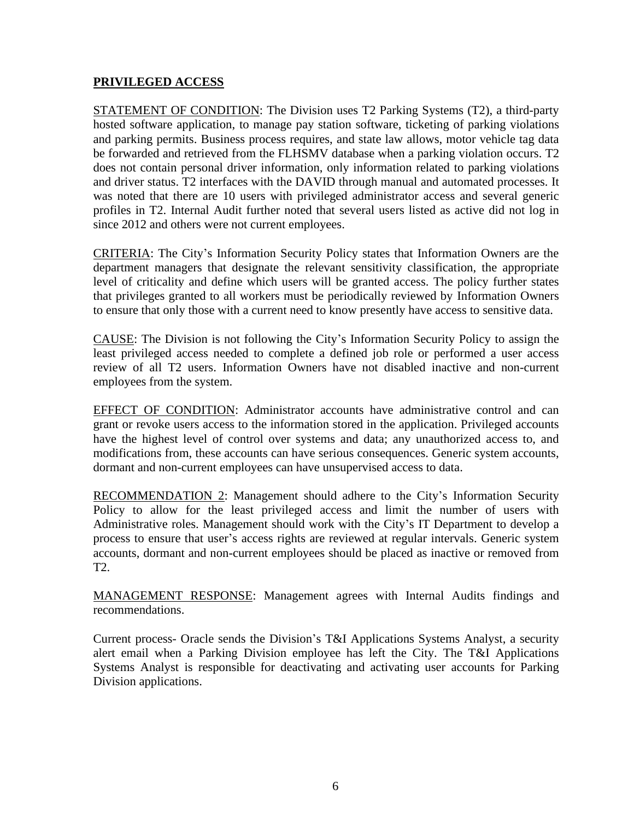## **PRIVILEGED ACCESS**

STATEMENT OF CONDITION: The Division uses T2 Parking Systems (T2), a third-party hosted software application, to manage pay station software, ticketing of parking violations and parking permits. Business process requires, and state law allows, motor vehicle tag data be forwarded and retrieved from the FLHSMV database when a parking violation occurs. T2 does not contain personal driver information, only information related to parking violations and driver status. T2 interfaces with the DAVID through manual and automated processes. It was noted that there are 10 users with privileged administrator access and several generic profiles in T2. Internal Audit further noted that several users listed as active did not log in since 2012 and others were not current employees.

CRITERIA: The City's Information Security Policy states that Information Owners are the department managers that designate the relevant sensitivity classification, the appropriate level of criticality and define which users will be granted access. The policy further states that privileges granted to all workers must be periodically reviewed by Information Owners to ensure that only those with a current need to know presently have access to sensitive data.

CAUSE: The Division is not following the City's Information Security Policy to assign the least privileged access needed to complete a defined job role or performed a user access review of all T2 users. Information Owners have not disabled inactive and non-current employees from the system.

EFFECT OF CONDITION: Administrator accounts have administrative control and can grant or revoke users access to the information stored in the application. Privileged accounts have the highest level of control over systems and data; any unauthorized access to, and modifications from, these accounts can have serious consequences. Generic system accounts, dormant and non-current employees can have unsupervised access to data.

RECOMMENDATION 2: Management should adhere to the City's Information Security Policy to allow for the least privileged access and limit the number of users with Administrative roles. Management should work with the City's IT Department to develop a process to ensure that user's access rights are reviewed at regular intervals. Generic system accounts, dormant and non-current employees should be placed as inactive or removed from T2.

MANAGEMENT RESPONSE: Management agrees with Internal Audits findings and recommendations.

Current process- Oracle sends the Division's T&I Applications Systems Analyst, a security alert email when a Parking Division employee has left the City. The T&I Applications Systems Analyst is responsible for deactivating and activating user accounts for Parking Division applications.